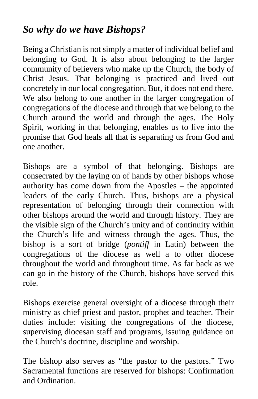## *So why do we have Bishops?*

Being a Christian is not simply a matter of individual belief and belonging to God. It is also about belonging to the larger community of believers who make up the Church, the body of Christ Jesus. That belonging is practiced and lived out concretely in our local congregation. But, it does not end there. We also belong to one another in the larger congregation of congregations of the diocese and through that we belong to the Church around the world and through the ages. The Holy Spirit, working in that belonging, enables us to live into the promise that God heals all that is separating us from God and one another.

Bishops are a symbol of that belonging. Bishops are consecrated by the laying on of hands by other bishops whose authority has come down from the Apostles – the appointed leaders of the early Church. Thus, bishops are a physical representation of belonging through their connection with other bishops around the world and through history. They are the visible sign of the Church's unity and of continuity within the Church's life and witness through the ages. Thus, the bishop is a sort of bridge (*pontiff* in Latin) between the congregations of the diocese as well a to other diocese throughout the world and throughout time. As far back as we can go in the history of the Church, bishops have served this role.

Bishops exercise general oversight of a diocese through their ministry as chief priest and pastor, prophet and teacher. Their duties include: visiting the congregations of the diocese, supervising diocesan staff and programs, issuing guidance on the Church's doctrine, discipline and worship.

The bishop also serves as "the pastor to the pastors." Two Sacramental functions are reserved for bishops: Confirmation and Ordination.